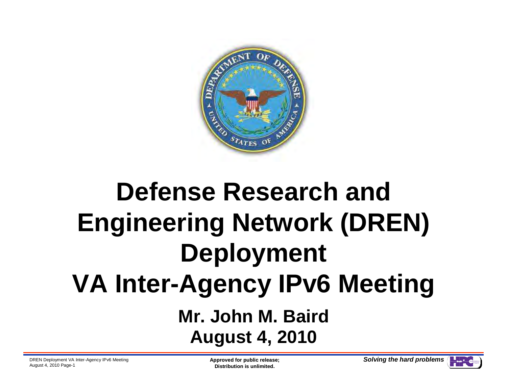

# **Defense Research and Engineering Network (DREN) Deployment VA Inter-Agency IPv6 MeetingMr. John M. BairdAugust 4, 2010**

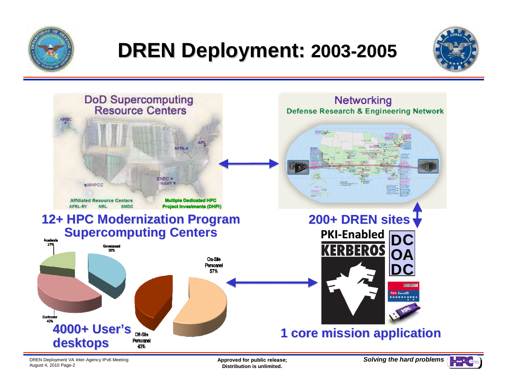

# **DREN Deployment: 2003-2005**





DREN Deployment VA Inter-Agency IPv6 MeetingAugust 4, 2010 Page-2

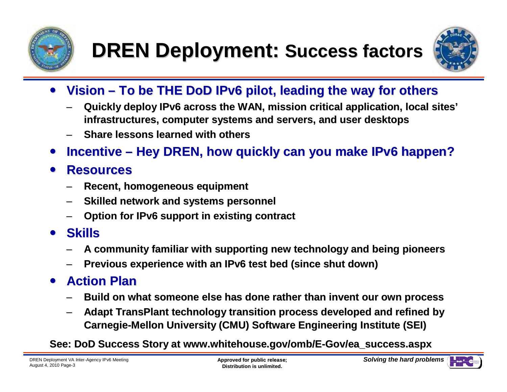



- $\bullet$  **Vision – To be THE DoD IPv6 pilot, leading the way for others**
	- – **Quickly deploy IPv6 across the WAN, mission critical application, local sites' infrastructures, computer systems and servers, and user desktops**
	- –**Share lessons learned with others**
- $\bullet$ **Incentive – Hey DREN, how quickly can you make IPv6 happen?**

#### $\bullet$ **Resources**

- **Recent, homogeneous equipment** –
- –**Skilled network and systems personnel**
- –**Option for IPv6 support in existing contract**
- **Skills**
	- **A community familiar with supporting new technology and being pioneers**–
	- –**Previous experience with an IPv6 test bed (since shut down)**

#### $\bullet$ **Action Plan**

- **Build on what someone else has done rather than invent our own process** –
- – **Adapt TransPlant technology transition process developed and refined by Carnegie-Mellon University (CMU) Software Engineering Institute (SEI)**

**See: DoD Success Story at www.whitehouse.gov/omb/E-Gov/ea\_success.aspx**

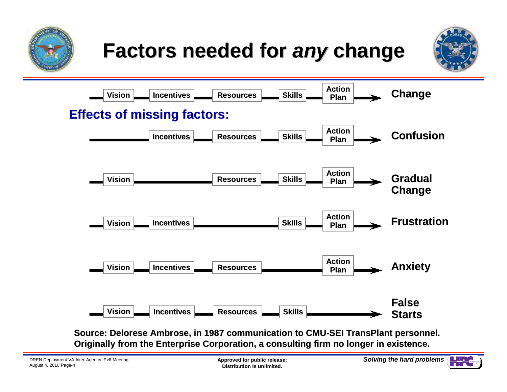





**Source: Delorese Ambrose, in 1987 communication to CMU-SEI TransPlant personnel. Originally from the Enterprise Corporation, a consulting firm no longer in existence.**

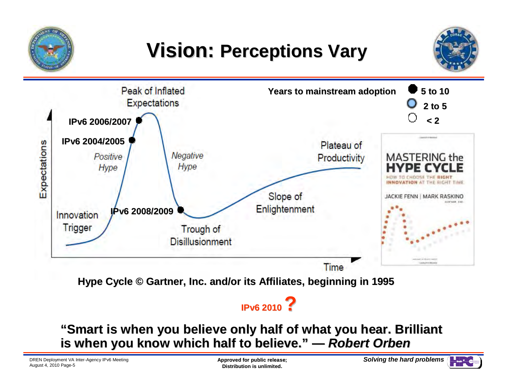

## **Vision: Perceptions Vary**



**Hype Cycle © Gartner, Inc. and/or its Affiliates, beginning in 1995**

### **IPv6 2010 ?**

#### **"Smart is when you believe only half of what you hear. Brilliant is when you know which half to believe." —Robert Orben**

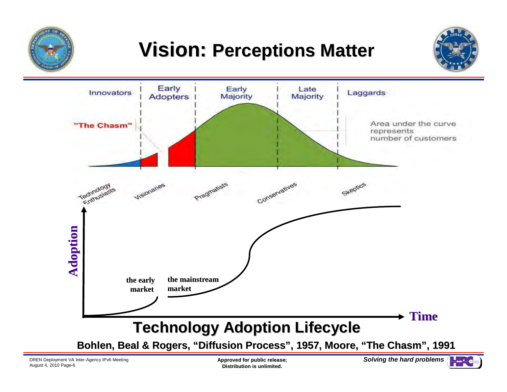

## **Vision: Perceptions Matter**





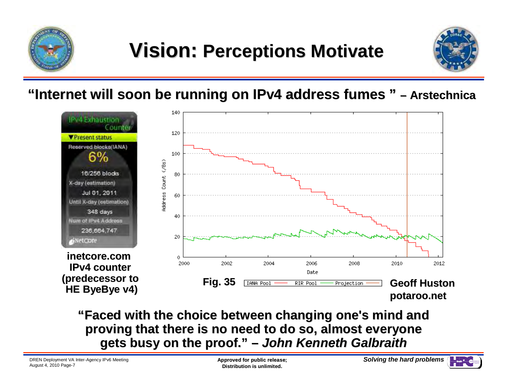



**"Internet will soon be running on IPv4 address fumes " – Arstechnica**



**"Faced with the choice between changing one's mind and proving that there is no need to do so, almost everyone gets busy on the proof." – John Kenneth Galbraith**

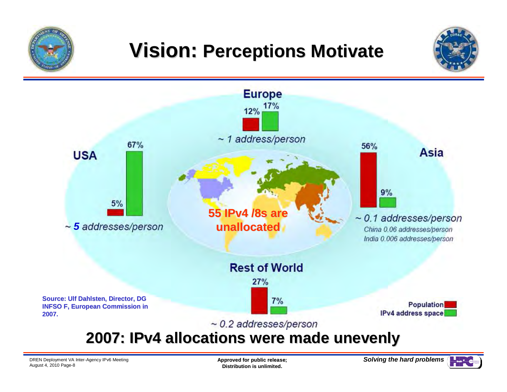





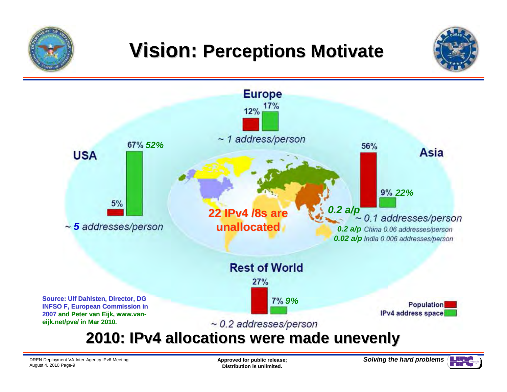





DREN Deployment VA Inter-Agency IPv6 MeetingAugust 4, 2010 Page-9

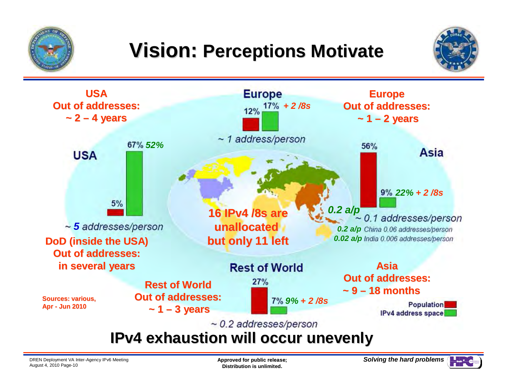





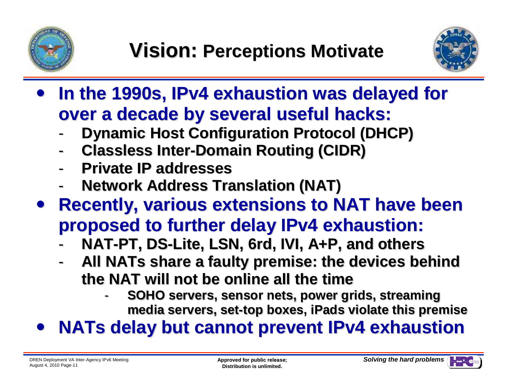



- $\bullet$  **In the 1990s, IPv4 exhaustion was delayed for over a decade by several useful hacks:**
	- **Dynamic Host Configuration Protocol (DHCP)** -
	- -**Classless Inter-Domain Routing (CIDR)**
	- -**Private IP addresses**
	- **Network Address Translation (NAT)** -
- **Recently, various extensions to NAT have been proposed to further delay IPv4 exhaustion:Wision: Perceptions Motivate**<br> **e 1990s, IPv4 exhaustion was delaid decade by several useful hacks**<br>
pramic Host Configuration Protocol (DH<br>
assless Inter-Domain Routing (CIDR)<br>
ivate IP addresses<br>
etwork Address Translat
	- **NAT-PT, DS-Lite, LSN, 6rd, IVI, A+P, and others**-
	- **All NATs share a faulty premise: the devices behind the NAT will not be online all the time**
		- **SOHO servers, sensor nets, power grids, streaming media servers, set-top boxes, iPads violate this premise SOHO servers, sensor streaming set-top iPads**-
- **NATs delay but cannot prevent IPv4 exhaustion** $\bullet$

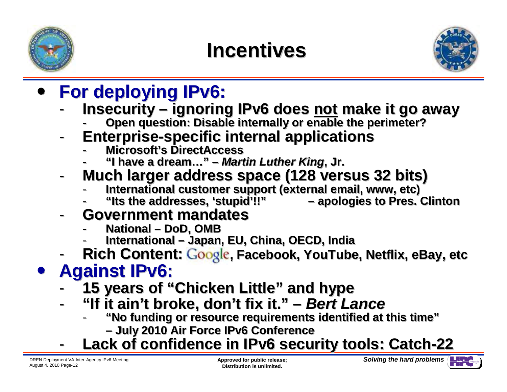



- $\bullet$ **For deploying IPv6:**
- - **Insecurity – ignoring IPv6 does not make it go awayFractif (1998)**<br> **Comparison Configuration**<br> **Comparison Configuration**<br> **Comparison Configurations**<br> **Comparison Configurations**<br> **Comparison Configurations**<br> **Comparison Configurations**<br> **Comparison Configurations**<br> **Co** 
	- **Open question: Disable internally or enable the perimeter?**
	- - **Enterprise-specific internal applicationsEnterprise-specific** 
		- -**Microsoft's DirectAccess Microsoft's DirectAccess**
		- **"I have a dream…" – Martin Luther King, Jr. Martin , Jr.**-
	- - **Much larger address space (128 versus 32 bits)**
		- -**International customer support (external email, www, etc)** -**customer support (external email, etc)**
		- **"Its the addresses, 'stupid'!!" – apologies to Pres. Clinton**-**"Its the 'stupid'!!" to Pres. ClintonNational**
	- - **Government mandates** 
		- **National – DoD, OMB DoD, OMB**
		- - **International – Japan, EU, China, OECD, India – Japan, EU, China, OECD, India** -
	- **Rich Content: Coogle, Facebook, YouTube, Netflix, eBay, etc.** -

#### $\bullet$ **Against IPv6:**

- -**15 years of "Chicken Little" and hype**
- **"If it ain't broke, don't fix it." – Bert Lance it. "**-
	- **"No funding or resource requirements identified at this time" requirements at time"**
		- **– July 2010 Air Force IPv6 Conference**
- **Lack of confidence in IPv6 security tools: Catch-22 July Air ConferenceCatch**-

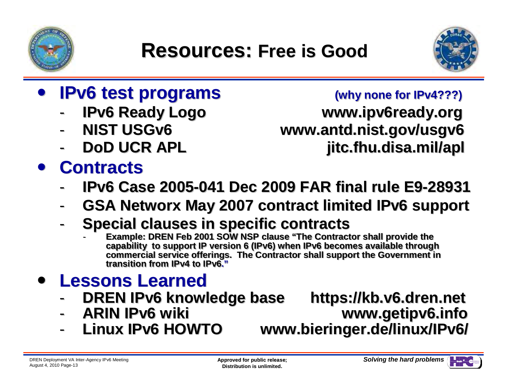



- $\bullet$  **IPv6 test programs**
	- -
	- -
	- -

# **Contracts**

### **S (why none for IPv4???)**

 **IPv6 Ready Logo www.ipv6ready.org NIST USGv6 www.antd.nist.gov/usgv6DoD UCR APL jitc.fhu.disa.mil/apl**

- **IPv6 Case 2005-041 Dec 2009 FAR final rule E9-28931**-
- **GSA Networx May 2007 contract limited IPv6 support** -
- - **Special clauses in specific contracts**
	- **Example: DREN Feb 2001 SOW NSP clause "The Contractor shall provide the**  - Example: DREN Feb 2001 SOW NSP clause "The Contractor shall provide the<br>capability to support IP version 6 (IPv6) when IPv6 becomes available through **commercial service offerings. The Contractor shall support the Government in commercial service offerings. The Contractor shall support the Government in transition from IPv4 to IPv6."transition from IPv4 to IPv6."**-

#### $\bullet$ **Lessons Learned**

- -**DREN IPv6 knowledge base https://kb.v6.dren.net**
- -
- -

 **ARIN IPv6 wiki www.getipv6.infoLinux IPv6 HOWTO www.bieringer.de/linux/IPv6/**

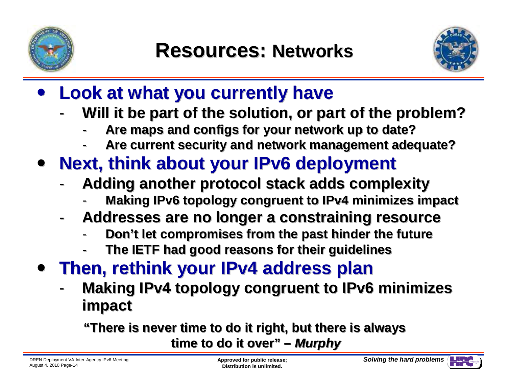



#### $\bullet$ **Look at what you currently have**

- **Will it be part of the solution, or part of the problem?**-
	- -**Are maps and configs for your network up to date?**-**Are configs for up to date?**
	- **Are current security and network management adequate?**-**Are current security and network management adequate?**-
- $\bullet$  **Next, think about your IPv6 deployment**
	- - **Adding another protocol stack adds complexity**
		- **Making IPv6 topology congruent to IPv4 minimizes impact** -**IPv6 topology to IPv4 impact**-
	- - **Addresses are no longer a constraining resource**
		- **Don't let compromises from the past hinder the future**-**Don't from past the future**-
		- -- The IETF had good reasons for their guidelines
- **Then, rethink your IPv4 address plan**
	- **Making IPv4 topology congruent to IPv6 minimizes impact**

**"There is never time to do it right, but there is always time to do it over" – Murphy**

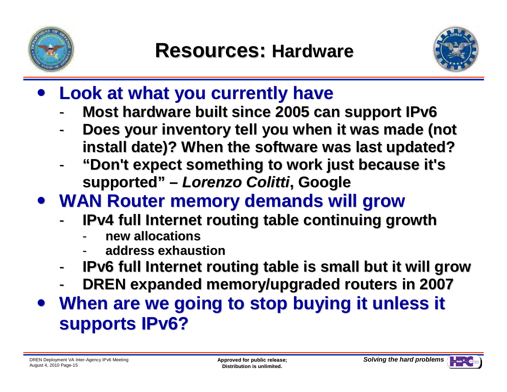



- $\bullet$  **Look at what you currently have**
	- **Most hardware built since 2005 can support IPv6**-
	- **Does your inventory tell you when it was made (not install date)? When the software was last updated?**
	- **"Don't expect something to work just because it's supported" – Lorenzo Colitti, Google**
- **WAN Router memory demands will grow**
	- - **IPv4 full Internet routing table continuing growth**
		- **new allocations**
		- **address exhaustion**-
	- **IPv6 full Internet routing table is small but it will grow**-
	- -**DREN expanded memory/upgraded routers in 2007**
- **When are we going to stop buying it unless it supports IPv6?**

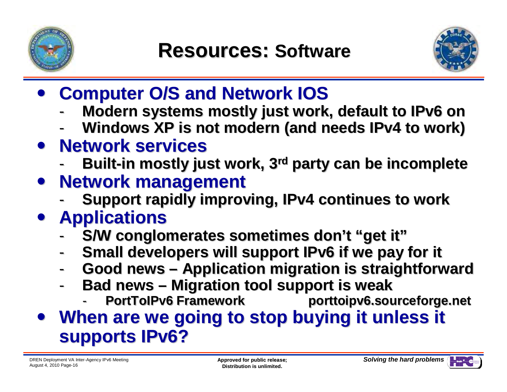



- $\bullet$ **Computer O/S and Network IOS**
	- -**Modern systems mostly just work, default to IPv6 on**
	- **Windows XP is not modern (and needs IPv4 to work)** -
- **Network services**
	- Built-in mostly just work, 3<sup>rd</sup> party can be incomplete -
- $\bullet$  **Network management**
	- -**Support rapidly improving, IPv4 continues to work**
- **Applications**
- S/W conglomerates sometimes don't "get it" --<br>IPv4 cont<br>mes don't
	- **Small developers will support IPv6 if we pay for it** -
	- -**Good news – Application migration is straightforward**
	- - **Bad news – Migration tool support is weak**
		- **PortToIPv6 Framework porttoipv6.sourceforge.net** -**PortToIPv6 Framework porttoipv6.sourceforge.net**-**PortToIPv6 Framework**
- **When are we going to stop buying it unless it supports IPv6?**

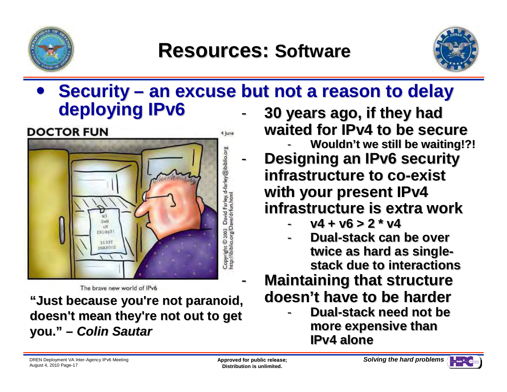

### **Resources: Software**



### **•** Security – an excuse but not a reason to delay dentaring the  $\frac{1}{2}$ **deploying IPv6**- **30 years ago, if they had**

-



**waited for IPv4 to be secure** 

- **Wouldn't we still be waiting!?! Designing an IPv6 security infrastructure to co-exist with your present IPv4 infrastructure is extra work**

- $v4 + v6 > 2 * v4$
- **Dual-stack can be over twice as hard as singlestack due to interactions**

### **Maintaining that structure doesn't have to be harder**

 **Dual-stack need not be more expensive than IPv4 alone**

-

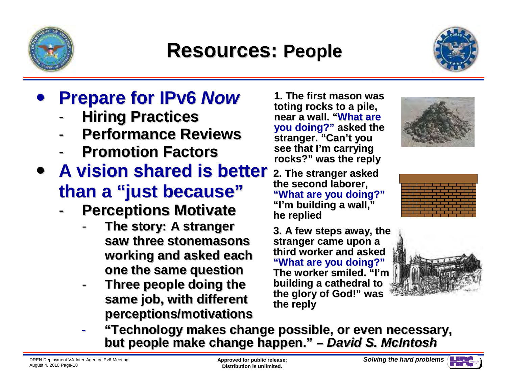

### **Resources: People**



#### $\bullet$ **Prepare for IPv6 Now**

- -**Hiring Practices**
- **Performance Reviews**-
- -**Promotion Factors**
- **A vision shared is better than a "just because"because"**- Hirir<br>Perf - Perf -<br>A visic - A visic -
	- **Perceptions Motivate** -
		- **The story: A stranger The story: stranger saw stonemasons saw three stonemasons working and asked each one the same questionone the same question**
		- **Three people doing the same job, with different** -**Three doing the same job, with different perceptions/motivations**

**1. The first mason was toting rocks to a pile, near a wall. "What are you doing?" asked the stranger. "Can't you see that I'm carrying rocks?" was the reply** 

 **2. The stranger asked the second laborer, "What are you doing?""I'm building a wall,"he replied** 

**3. A few steps away, the stranger came upon a third worker and asked "What are you doing?" The worker smiled. "I'm building a cathedral to the glory of God!" was the reply**







 **"Technology makes change possible, or even necessary, "Technology change even necessary,but people make change happen." – David S. McIntoshbut people make change happen."S. McIntosh**

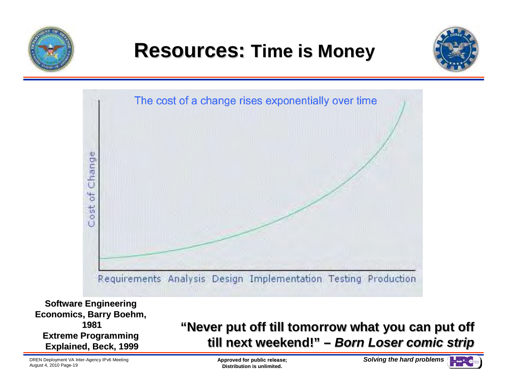

### **Resources: Time is Money**





**Software Engineering Economics, Barry Boehm, 1981 Extreme Programming Explained, Beck, 1999**

#### **"Never put off till tomorrow what you can put off till next weekend!" – Born Loser comic strip**put off till tomorrow what you can put off<br>next weekend!" – *Born Loser comic strip*

DREN Deployment VA Inter-Agency IPv6 MeetingAugust 4, 2010 Page-19

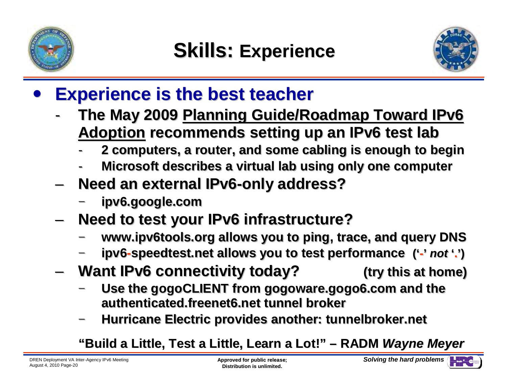

-



#### $\bullet$ **Experience is the best teacher**

- **The May 2009 Planning Guide/Roadmap Toward IPv6 Adoption recommends setting up an IPv6 test lab**
	- -**2 computers, a router, and some cabling is enough to begin**-**computers, router, and cabling is to begin**
	- -**Microsoft describes a virtual lab using only one computer**-**Microsoft describes a virtual lab using only one**
- – **Need an external IPv6-only address?** and the state of the
	- **ipv6.google.com ipv6.google.com**
- **Need to test your IPv6 infrastructure?**–**Links of the Common** 
	- **www.ipv6tools.org allows you to ping, trace, and query DNS www.ipv6tools.org you to ping, trace, DNS**
	- **ipv6-speedtest.net allows you to test performance ('-' not '.')**
- **Want IPv6 connectivity today? (try this at home) (try this at home)**and the state of the
	- **Use the gogoCLIENT from gogoware.gogo6.com and the the gogoCLIENT and the authenticated.freenet6.net tunnel brokerauthenticated.freenet6.net tunnel broker**
	- **Hurricane Electric provides another: tunnelbroker.net**

**Hurricane Electric provides another: tunnelbroker.net"Build a Little, Test a Little, Learn a Lot!" – RADM Wayne Meyer**

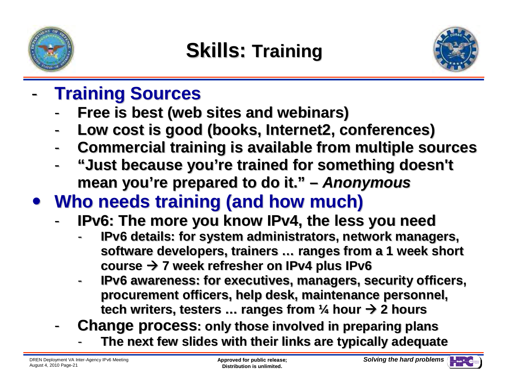

### **Skills: Training**



- - **Training Sources**
	- **Free is best (web sites and webinars)** -
	- -**Low cost is good (books, Internet2, conferences)**
	- -**Commercial training is available from multiple sources**
	- - **"Just because you're trained for something doesn't mean you're prepared to do it." – Anonymous**
- **Who needs training (and how much)**
	- -**IPv6: The more you know IPv4, the less you need**
- **IPv6 details: for system administrators, network managers, software developers, trainers … ranges from a 1 week short course 7 week refresher on IPv4 plus IPv6** -**ID needs training (and how much)**<br>IPv6: The more you know IPv4, the less you need<br>- IPv6 details: for system administrators, network managers,<br>software developers, trainers ... ranges from a 1 week short<br>course → 7 week
	- **IPv6 awareness: for executives, managers, security officers, procurement officers, help desk, maintenance personnel,**
	- tech writers, testers … ranges from ¼ hour → 2 hours<br>Change process: only those involved in preparing plan **Change process: only those involved in preparing plans**
		- The next few slides with their links are typically adequate -

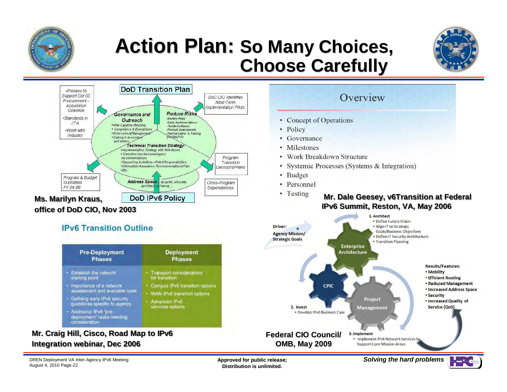

### **Action Plan: So Many Choices,Choose Carefully**





**Deployment** 

**Phases** 

Campus IPv6 transition options

WAN IPv6 transition options

Transport considerations

for transition

Advanced IPvB

services options

#### **office of DoD CIO, Nov 2003**

**IPv6 Transition Outline** 

**Pre-Deployment** 

**Phases** 

assessment and available tools.

Defining early IPv6 security

deployment" tasks needing

guidelines specific to agency

- Establish the network

- Additional IPv6 'pre-

Importance of a network

starting point



**Integration webinar, Dec 2006**

consideration

**Mr. Craig Hill, Cisco, Road Map to IPv6**

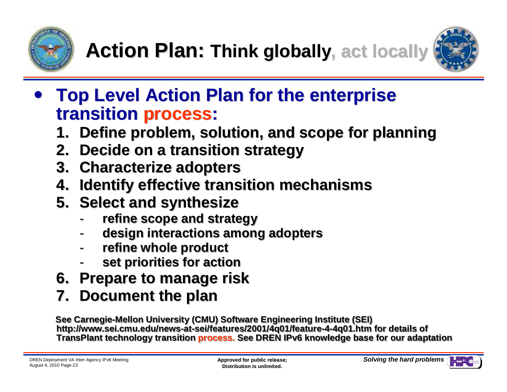



- **Top Level Action Plan for the enterprise transition process:**
	- **1. Define problem, solution, and scope for planning**
	- **2. Decide on a transition strategy**
	- **3. Characterize adopters**
	- **4. Identify effective transition mechanisms**. Decide on a transition strategy<br>. Characterize adopters<br>. Identify effective transition mechan<br>. Select and synthesize
	- **5. Select and synthesize**
		- **refine scope and strategy**-
		- **design interactions among adopters**-- refine scope and strategy<br>- design interactions among adopters<br>- refine whole product
		- **refine whole product**
		- **set priorities for action**-**set for action**
	- **6. Prepare to manage risk**
	- **7. Document the plan**

See Carnegie-Mellon University (CMU) Software Engineering Institute (SEI) **http://www.sei.cmu.edu/news-at-sei/features/2001/4q01/feature-4-4q01.htm for details of http://www.sei.cmu.edu/news-at-sei/features/2001/4q01/feature-4-4q01.htm**http://www.sei.cmu.edu/news-at-sei/features/2001/4q01/feature-4-4q01.htm for details of<br>TransPlant technology transition <mark>process.</mark> See DREN IPv6 knowledge base for our adaptation

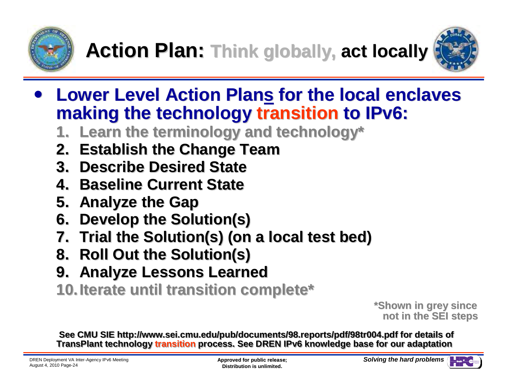



- **Lower Level Action Plans for the local enclaves making the technology transition to IPv6:**
	- **1. Learn the terminology and technology\***
	- **2. Establish the Change Team**
	- **3. Describe Desired State**
	- **4. Baseline Current State**
	- **5. Analyze the Gap**
	- **6. Develop the Solution(s)**
	- **7. Trial the Solution(s) (on a local test bed)Exam the terminology and technom**<br> **Establish the Change Team<br>
	. Describe Desired State<br>
	. Baseline Current State<br>
	. Analyze the Gap<br>
	. Trial the Solution(s)<br>
	. Trial the Solution(s)<br>
	. Roll Out the Solution(s)<br>
	. Analyze**
	- **8. Roll Out the Solution(s)**
	- **9. Analyze Lessons Learned**
	- **10.Iterate until transition complete\***

**\*Shown in grey sincenot in the SEI steps**

**See CMU SIE http://www.sei.cmu.edu/pub/documents/98.reports/pdf/98tr004.pdf for details of See CMU SIE http://www.sei.cmu.edu/pub/documents/98.reports/pdf/98tr004.pdf for details of** TransPlant technology <mark>transition</mark> process. See DREN IPv6 knowledge base for our adaptation

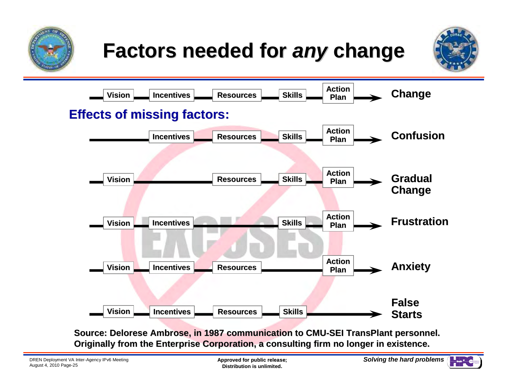





**Source: Delorese Ambrose, in 1987 communication to CMU-SEI TransPlant personnel. Originally from the Enterprise Corporation, a consulting firm no longer in existence.**

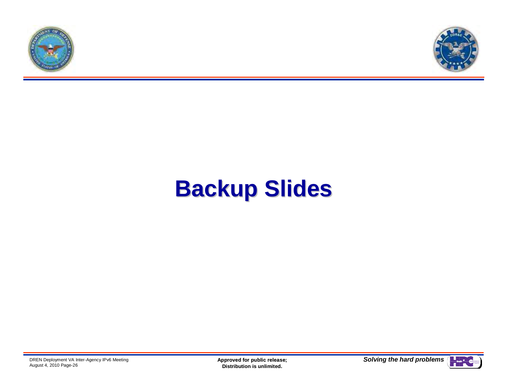



# **Backup Slides**